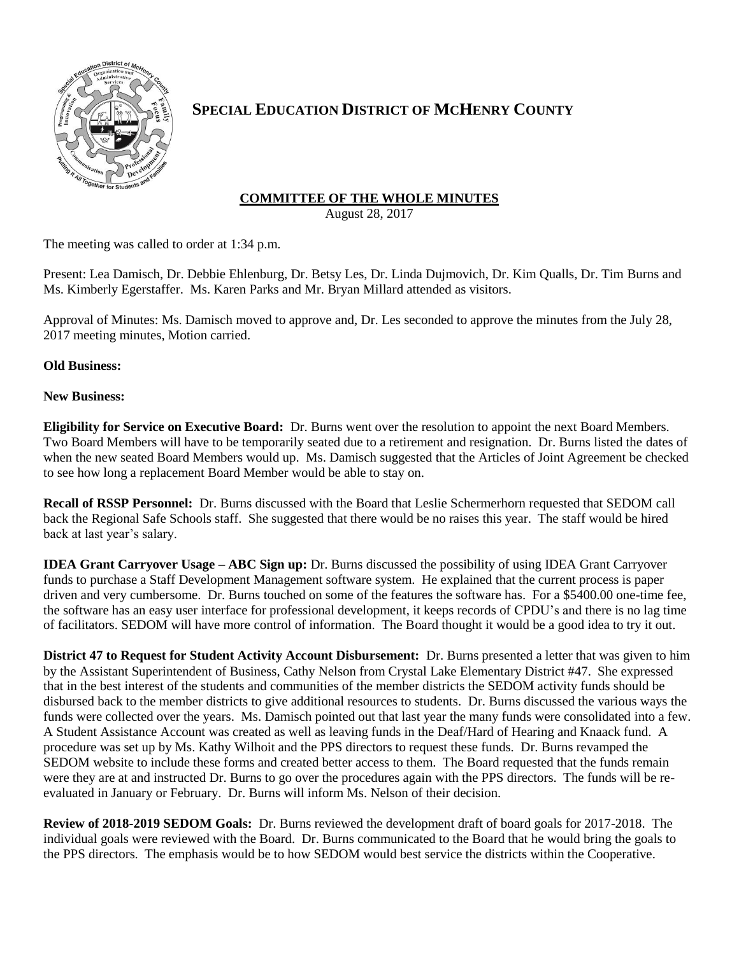

## **SPECIAL EDUCATION DISTRICT OF MCHENRY COUNTY**

## **COMMITTEE OF THE WHOLE MINUTES**

August 28, 2017

The meeting was called to order at 1:34 p.m.

Present: Lea Damisch, Dr. Debbie Ehlenburg, Dr. Betsy Les, Dr. Linda Dujmovich, Dr. Kim Qualls, Dr. Tim Burns and Ms. Kimberly Egerstaffer. Ms. Karen Parks and Mr. Bryan Millard attended as visitors.

Approval of Minutes: Ms. Damisch moved to approve and, Dr. Les seconded to approve the minutes from the July 28, 2017 meeting minutes, Motion carried.

**Old Business:**

## **New Business:**

**Eligibility for Service on Executive Board:** Dr. Burns went over the resolution to appoint the next Board Members. Two Board Members will have to be temporarily seated due to a retirement and resignation. Dr. Burns listed the dates of when the new seated Board Members would up. Ms. Damisch suggested that the Articles of Joint Agreement be checked to see how long a replacement Board Member would be able to stay on.

**Recall of RSSP Personnel:** Dr. Burns discussed with the Board that Leslie Schermerhorn requested that SEDOM call back the Regional Safe Schools staff. She suggested that there would be no raises this year. The staff would be hired back at last year's salary.

**IDEA Grant Carryover Usage – ABC Sign up:** Dr. Burns discussed the possibility of using IDEA Grant Carryover funds to purchase a Staff Development Management software system. He explained that the current process is paper driven and very cumbersome. Dr. Burns touched on some of the features the software has. For a \$5400.00 one-time fee, the software has an easy user interface for professional development, it keeps records of CPDU's and there is no lag time of facilitators. SEDOM will have more control of information. The Board thought it would be a good idea to try it out.

**District 47 to Request for Student Activity Account Disbursement:** Dr. Burns presented a letter that was given to him by the Assistant Superintendent of Business, Cathy Nelson from Crystal Lake Elementary District #47. She expressed that in the best interest of the students and communities of the member districts the SEDOM activity funds should be disbursed back to the member districts to give additional resources to students. Dr. Burns discussed the various ways the funds were collected over the years. Ms. Damisch pointed out that last year the many funds were consolidated into a few. A Student Assistance Account was created as well as leaving funds in the Deaf/Hard of Hearing and Knaack fund. A procedure was set up by Ms. Kathy Wilhoit and the PPS directors to request these funds. Dr. Burns revamped the SEDOM website to include these forms and created better access to them. The Board requested that the funds remain were they are at and instructed Dr. Burns to go over the procedures again with the PPS directors. The funds will be reevaluated in January or February. Dr. Burns will inform Ms. Nelson of their decision.

**Review of 2018-2019 SEDOM Goals:** Dr. Burns reviewed the development draft of board goals for 2017-2018. The individual goals were reviewed with the Board. Dr. Burns communicated to the Board that he would bring the goals to the PPS directors. The emphasis would be to how SEDOM would best service the districts within the Cooperative.